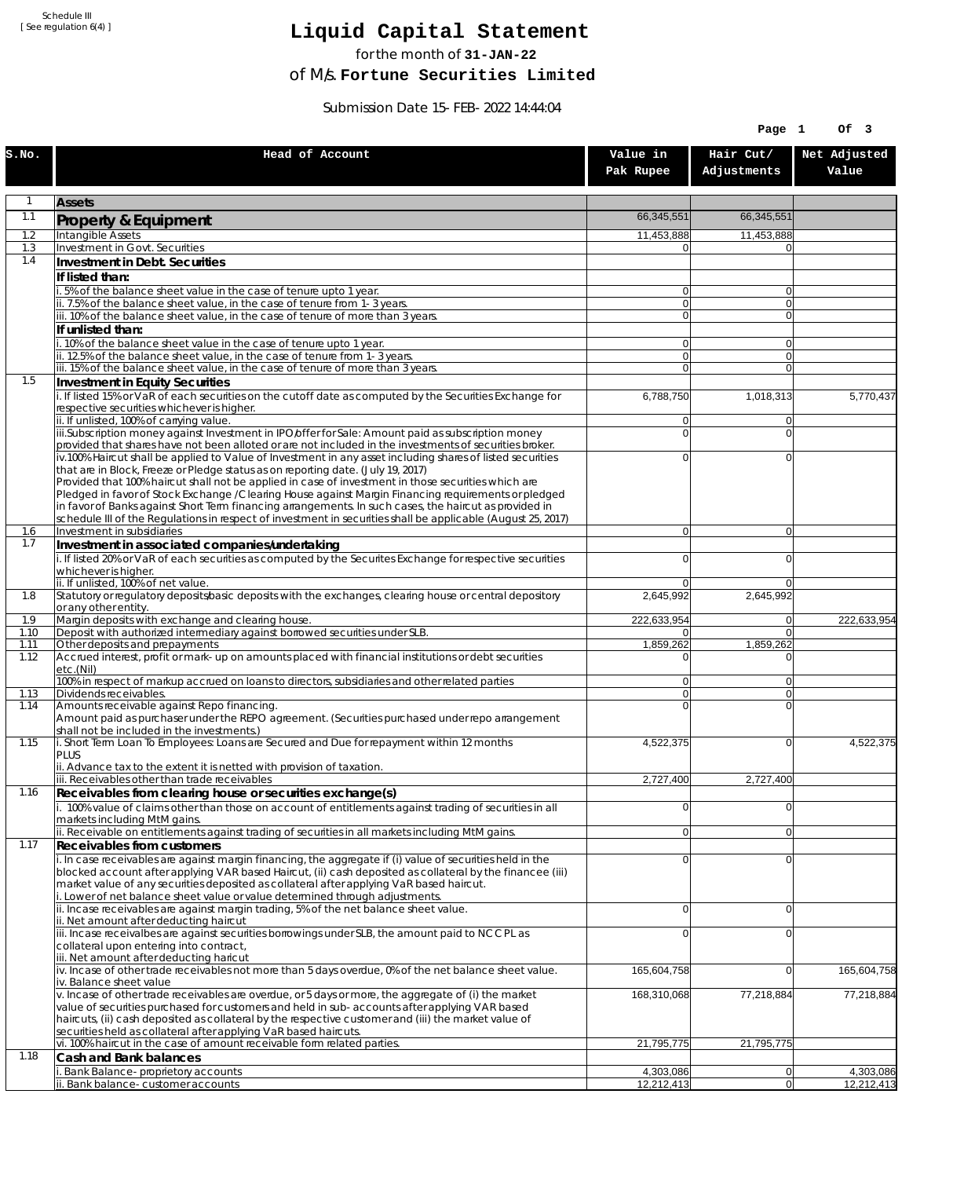Schedule III [ See regulation 6(4) ]

## **Liquid Capital Statement**

for the month of **31-JAN-22**

of M/s. **Fortune Securities Limited**

Submission Date 15-FEB-2022 14:44:04

|              |                                                                                                                                                                                                                        |                            | Page 1                   | Of 3                  |
|--------------|------------------------------------------------------------------------------------------------------------------------------------------------------------------------------------------------------------------------|----------------------------|--------------------------|-----------------------|
| S.NO.        | Head of Account                                                                                                                                                                                                        | Value in<br>Pak Rupee      | Hair Cut/<br>Adjustments | Net Adjusted<br>Value |
| 1            | <b>Assets</b>                                                                                                                                                                                                          |                            |                          |                       |
| 1.1          | Property & Equipment                                                                                                                                                                                                   | 66,345,551                 | 66,345,551               |                       |
| 1.2          | Intangible Assets                                                                                                                                                                                                      | 11,453,888                 | 11,453,888               |                       |
| 1.3<br>1.4   | <b>Investment in Govt. Securities</b><br>Investment in Debt. Securities                                                                                                                                                | $\Omega$                   |                          |                       |
|              | If listed than:                                                                                                                                                                                                        |                            |                          |                       |
|              | 5% of the balance sheet value in the case of tenure upto 1 year.                                                                                                                                                       | $\Omega$                   | $\overline{0}$           |                       |
|              | ii. 7.5% of the balance sheet value, in the case of tenure from 1-3 years.                                                                                                                                             | $\overline{0}$             | $\overline{0}$           |                       |
|              | iii. 10% of the balance sheet value, in the case of tenure of more than 3 years.<br>If unlisted than:                                                                                                                  | $\Omega$                   | $\overline{0}$           |                       |
|              | . 10% of the balance sheet value in the case of tenure upto 1 year.                                                                                                                                                    | $\overline{0}$             | $\overline{0}$           |                       |
|              | ii. 12.5% of the balance sheet value, in the case of tenure from 1-3 years.                                                                                                                                            | $\overline{0}$             | $\overline{0}$           |                       |
| 1.5          | iii. 15% of the balance sheet value, in the case of tenure of more than 3 years.<br>Investment in Equity Securities                                                                                                    | $\overline{0}$             | $\Omega$                 |                       |
|              | i. If listed 15% or VaR of each securities on the cutoff date as computed by the Securities Exchange for                                                                                                               | 6,788,750                  | 1,018,313                | 5,770,437             |
|              | respective securities whichever is higher.                                                                                                                                                                             |                            |                          |                       |
|              | ii. If unlisted, 100% of carrying value.<br>iii.Subscription money against Investment in IPO/offer for Sale: Amount paid as subscription money                                                                         | $\Omega$<br>$\overline{0}$ | $\Omega$<br>$\Omega$     |                       |
|              | provided that shares have not been alloted or are not included in the investments of securities broker.                                                                                                                |                            |                          |                       |
|              | iv.100% Haircut shall be applied to Value of Investment in any asset including shares of listed securities                                                                                                             | 0                          | $\Omega$                 |                       |
|              | that are in Block, Freeze or Pledge status as on reporting date. (July 19, 2017)<br>Provided that 100% haircut shall not be applied in case of investment in those securities which are                                |                            |                          |                       |
|              | Pledged in favor of Stock Exchange / Clearing House against Margin Financing requirements or pledged                                                                                                                   |                            |                          |                       |
|              | in favor of Banks against Short Term financing arrangements. In such cases, the haircut as provided in<br>schedule III of the Regulations in respect of investment in securities shall be applicable (August 25, 2017) |                            |                          |                       |
| 1.6          | Investment in subsidiaries                                                                                                                                                                                             | $\Omega$                   | $\overline{0}$           |                       |
| 1.7          | Investment in associated companies/undertaking                                                                                                                                                                         |                            |                          |                       |
|              | i. If listed 20% or VaR of each securities as computed by the Securites Exchange for respective securities<br>whichever is higher.                                                                                     | $\Omega$                   | $\Omega$                 |                       |
|              | ii. If unlisted, 100% of net value.                                                                                                                                                                                    | $\Omega$                   | $\Omega$                 |                       |
| 1.8          | Statutory or regulatory deposits/basic deposits with the exchanges, clearing house or central depository                                                                                                               | 2,645,992                  | 2,645,992                |                       |
| 1.9          | or any other entity.<br>Margin deposits with exchange and clearing house.                                                                                                                                              | 222,633,954                | $\overline{0}$           | 222,633,954           |
| 1.10         | Deposit with authorized intermediary against borrowed securities under SLB.                                                                                                                                            | 0                          | $\overline{0}$           |                       |
| 1.11<br>1.12 | Other deposits and prepayments<br>Accrued interest, profit or mark-up on amounts placed with financial institutions or debt securities                                                                                 | 1,859,262<br>0             | 1,859,262<br>$\Omega$    |                       |
|              | etc.(Nil)                                                                                                                                                                                                              |                            |                          |                       |
| 1.13         | 100% in respect of markup accrued on loans to directors, subsidiaries and other related parties<br>Dividends receivables.                                                                                              | $\overline{0}$<br>οl       | $\Omega$<br>$\Omega$     |                       |
| 1.14         | Amounts receivable against Repo financing.                                                                                                                                                                             | 0                          | $\Omega$                 |                       |
|              | Amount paid as purchaser under the REPO agreement. (Securities purchased under repo arrangement                                                                                                                        |                            |                          |                       |
| 1.15         | shall not be included in the investments.)<br>i. Short Term Loan To Employees: Loans are Secured and Due for repayment within 12 months                                                                                | 4,522,375                  | $\Omega$                 | 4,522,375             |
|              | PLUS                                                                                                                                                                                                                   |                            |                          |                       |
|              | ii. Advance tax to the extent it is netted with provision of taxation.<br>iii. Receivables other than trade receivables                                                                                                | 2,727,400                  | 2,727,400                |                       |
| 1.16         | Receivables from clearing house or securities exchange(s)                                                                                                                                                              |                            |                          |                       |
|              | i. 100% value of claims other than those on account of entitlements against trading of securities in all                                                                                                               | $\overline{0}$             | $\Omega$                 |                       |
|              | markets including MtM gains.<br>ii. Receivable on entitlements against trading of securities in all markets including MtM gains.                                                                                       | $\overline{0}$             | $\overline{0}$           |                       |
| 1.17         | Receivables from customers                                                                                                                                                                                             |                            |                          |                       |
|              | i. In case receivables are against margin financing, the aggregate if (i) value of securities held in the                                                                                                              | $\Omega$                   | $\overline{0}$           |                       |
|              | blocked account after applying VAR based Haircut, (ii) cash deposited as collateral by the financee (iii)<br>market value of any securities deposited as collateral after applying VaR based haircut.                  |                            |                          |                       |
|              | i. Lower of net balance sheet value or value determined through adjustments.                                                                                                                                           |                            |                          |                       |
|              | ii. Incase receivables are against margin trading, 5% of the net balance sheet value.                                                                                                                                  | $\Omega$                   | $\overline{0}$           |                       |
|              | ii. Net amount after deducting haircut<br>iii. Incase receivalbes are against securities borrowings under SLB, the amount paid to NCCPL as                                                                             | $\Omega$                   | $\overline{0}$           |                       |
|              | collateral upon entering into contract,                                                                                                                                                                                |                            |                          |                       |
|              | iii. Net amount after deducting haricut<br>iv. Incase of other trade receivables not more than 5 days overdue, 0% of the net balance sheet value.                                                                      | 165,604,758                | $\Omega$                 | 165,604,758           |
|              | iv. Balance sheet value                                                                                                                                                                                                |                            |                          |                       |
|              | v. Incase of other trade receivables are overdue, or 5 days or more, the aggregate of (i) the market                                                                                                                   | 168,310,068                | 77,218,884               | 77,218,884            |
|              | value of securities purchased for customers and held in sub-accounts after applying VAR based<br>haircuts, (ii) cash deposited as collateral by the respective customer and (iii) the market value of                  |                            |                          |                       |
|              | securities held as collateral after applying VaR based haircuts.                                                                                                                                                       |                            |                          |                       |
| 1.18         | vi. 100% haircut in the case of amount receivable form related parties.                                                                                                                                                | 21,795,775                 | 21,795,775               |                       |
|              | Cash and Bank balances<br>Bank Balance-proprietory accounts                                                                                                                                                            | 4,303,086                  | 0                        | 4,303,086             |
|              | i. Bank balance-customer accounts                                                                                                                                                                                      | 12,212,413                 | 0                        | 12,212,413            |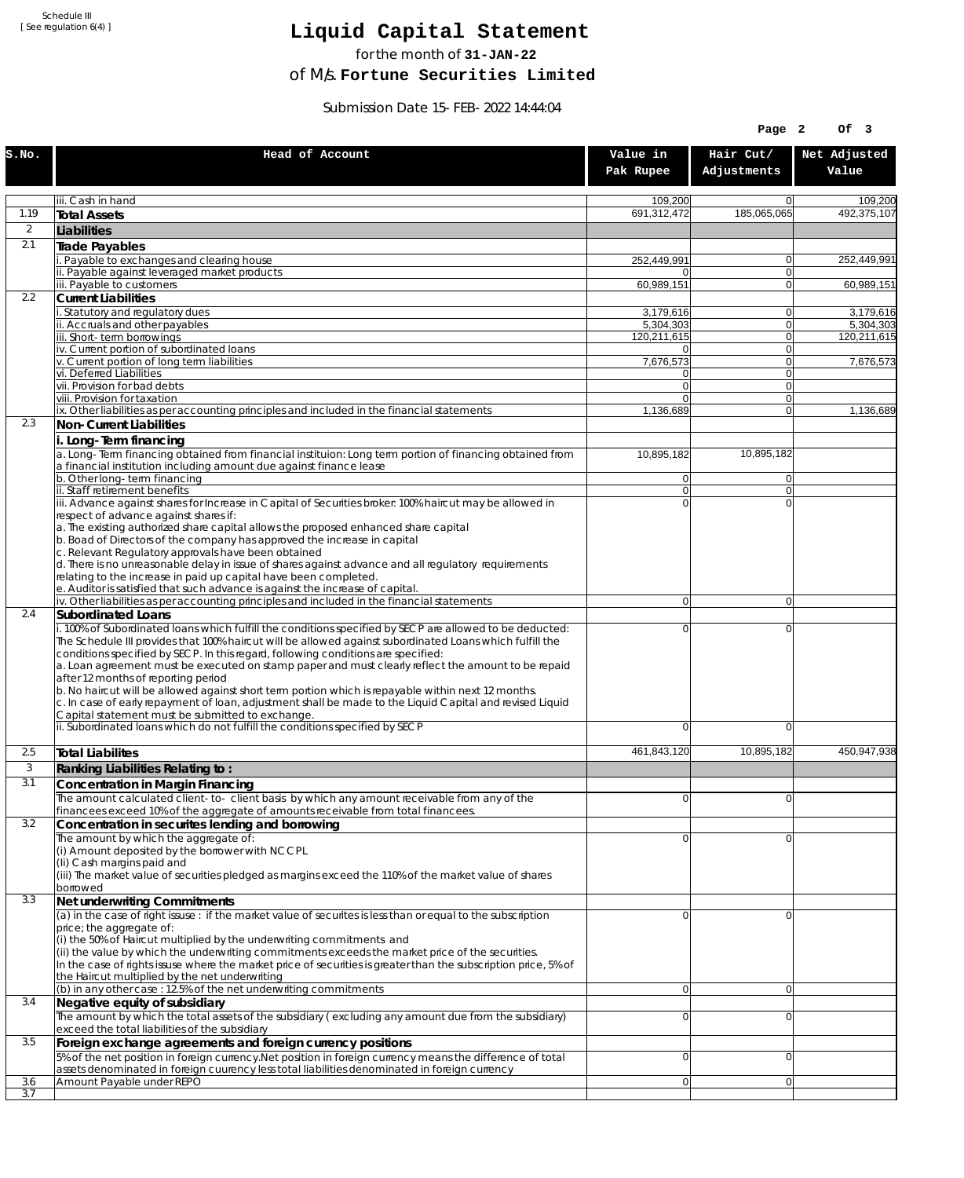Schedule III [ See regulation 6(4) ]

## **Liquid Capital Statement**

for the month of **31-JAN-22**

of M/s. **Fortune Securities Limited**

Submission Date 15-FEB-2022 14:44:04

|       |                                                                                                                                                                                                                                                                                                                                                                                                                                                                                                                                                                                                                                                                                                                                                                                                              |                                  | Page 2                           | Of 3                  |
|-------|--------------------------------------------------------------------------------------------------------------------------------------------------------------------------------------------------------------------------------------------------------------------------------------------------------------------------------------------------------------------------------------------------------------------------------------------------------------------------------------------------------------------------------------------------------------------------------------------------------------------------------------------------------------------------------------------------------------------------------------------------------------------------------------------------------------|----------------------------------|----------------------------------|-----------------------|
| S.NO. | Head of Account                                                                                                                                                                                                                                                                                                                                                                                                                                                                                                                                                                                                                                                                                                                                                                                              | Value in<br>Pak Rupee            | Hair Cut/<br>Adjustments         | Net Adjusted<br>Value |
|       | iii. Cash in hand                                                                                                                                                                                                                                                                                                                                                                                                                                                                                                                                                                                                                                                                                                                                                                                            | 109,200                          | $\overline{0}$                   | 109,200               |
| 1.19  | <b>Total Assets</b>                                                                                                                                                                                                                                                                                                                                                                                                                                                                                                                                                                                                                                                                                                                                                                                          | 691,312,472                      | 185,065,065                      | 492,375,107           |
| 2     | Liabilities                                                                                                                                                                                                                                                                                                                                                                                                                                                                                                                                                                                                                                                                                                                                                                                                  |                                  |                                  |                       |
| 2.1   | Trade Payables                                                                                                                                                                                                                                                                                                                                                                                                                                                                                                                                                                                                                                                                                                                                                                                               |                                  |                                  |                       |
|       | i. Payable to exchanges and clearing house                                                                                                                                                                                                                                                                                                                                                                                                                                                                                                                                                                                                                                                                                                                                                                   | 252,449,991                      | $\overline{0}$                   | 252,449,991           |
|       | ii. Payable against leveraged market products<br>iii. Payable to customers                                                                                                                                                                                                                                                                                                                                                                                                                                                                                                                                                                                                                                                                                                                                   | $\Omega$<br>60,989,151           | $\overline{0}$<br>$\overline{0}$ | 60,989,151            |
| 2.2   | <b>Current Liabilities</b>                                                                                                                                                                                                                                                                                                                                                                                                                                                                                                                                                                                                                                                                                                                                                                                   |                                  |                                  |                       |
|       | i. Statutory and regulatory dues                                                                                                                                                                                                                                                                                                                                                                                                                                                                                                                                                                                                                                                                                                                                                                             | 3,179,616                        | $\Omega$                         | 3,179,616             |
|       | ii. Accruals and other payables                                                                                                                                                                                                                                                                                                                                                                                                                                                                                                                                                                                                                                                                                                                                                                              | 5,304,303                        | $\overline{0}$                   | 5,304,303             |
|       | iii. Short-term borrowings<br>iv. Current portion of subordinated loans                                                                                                                                                                                                                                                                                                                                                                                                                                                                                                                                                                                                                                                                                                                                      | 120,211,615<br>$\Omega$          | $\overline{0}$<br>$\overline{0}$ | 120.211.615           |
|       | v. Current portion of long term liabilities                                                                                                                                                                                                                                                                                                                                                                                                                                                                                                                                                                                                                                                                                                                                                                  | 7,676,573                        | $\overline{0}$                   | 7,676,573             |
|       | vi. Deferred Liabilities                                                                                                                                                                                                                                                                                                                                                                                                                                                                                                                                                                                                                                                                                                                                                                                     | $\overline{0}$                   | $\mathbf{0}$                     |                       |
|       | vii. Provision for bad debts<br>viii. Provision for taxation                                                                                                                                                                                                                                                                                                                                                                                                                                                                                                                                                                                                                                                                                                                                                 | $\overline{0}$<br>$\Omega$       | $\overline{0}$<br>$\overline{0}$ |                       |
|       | ix. Other liabilities as per accounting principles and included in the financial statements                                                                                                                                                                                                                                                                                                                                                                                                                                                                                                                                                                                                                                                                                                                  | 1,136,689                        | $\overline{0}$                   | 1,136,689             |
| 2.3   | Non-Current Liabilities                                                                                                                                                                                                                                                                                                                                                                                                                                                                                                                                                                                                                                                                                                                                                                                      |                                  |                                  |                       |
|       | i. Long-Term financing                                                                                                                                                                                                                                                                                                                                                                                                                                                                                                                                                                                                                                                                                                                                                                                       |                                  |                                  |                       |
|       | a. Long-Term financing obtained from financial instituion: Long term portion of financing obtained from<br>a financial institution including amount due against finance lease                                                                                                                                                                                                                                                                                                                                                                                                                                                                                                                                                                                                                                | 10,895,182                       | 10,895,182                       |                       |
|       | b. Other long-term financing<br>ii. Staff retirement benefits                                                                                                                                                                                                                                                                                                                                                                                                                                                                                                                                                                                                                                                                                                                                                | $\overline{0}$<br>$\overline{0}$ | 0 <br>$\overline{0}$             |                       |
|       | iii. Advance against shares for Increase in Capital of Securities broker: 100% haircut may be allowed in                                                                                                                                                                                                                                                                                                                                                                                                                                                                                                                                                                                                                                                                                                     | $\Omega$                         | $\Omega$                         |                       |
|       | respect of advance against shares if:<br>a. The existing authorized share capital allows the proposed enhanced share capital<br>b. Boad of Directors of the company has approved the increase in capital<br>c. Relevant Regulatory approvals have been obtained<br>d. There is no unreasonable delay in issue of shares against advance and all regulatory requirements<br>relating to the increase in paid up capital have been completed.                                                                                                                                                                                                                                                                                                                                                                  |                                  |                                  |                       |
|       | e. Auditor is satisfied that such advance is against the increase of capital.<br>iv. Other liabilities as per accounting principles and included in the financial statements                                                                                                                                                                                                                                                                                                                                                                                                                                                                                                                                                                                                                                 | $\Omega$                         | $\Omega$                         |                       |
| 2.4   | <b>Subordinated Loans</b>                                                                                                                                                                                                                                                                                                                                                                                                                                                                                                                                                                                                                                                                                                                                                                                    |                                  |                                  |                       |
|       | i. 100% of Subordinated loans which fulfill the conditions specified by SECP are allowed to be deducted:<br>The Schedule III provides that 100% haircut will be allowed against subordinated Loans which fulfill the<br>conditions specified by SECP. In this regard, following conditions are specified:<br>a. Loan agreement must be executed on stamp paper and must clearly reflect the amount to be repaid<br>after 12 months of reporting period<br>b. No haircut will be allowed against short term portion which is repayable within next 12 months.<br>c. In case of early repayment of loan, adjustment shall be made to the Liquid Capital and revised Liquid<br>Capital statement must be submitted to exchange.<br>ii. Subordinated loans which do not fulfill the conditions specified by SECP | $\Omega$<br>$\Omega$             | $\Omega$<br>$\Omega$             |                       |
| 2.5   | Total Liabilites                                                                                                                                                                                                                                                                                                                                                                                                                                                                                                                                                                                                                                                                                                                                                                                             | 461,843,120                      | 10,895,182                       | 450,947,938           |
| 3     | Ranking Liabilities Relating to:                                                                                                                                                                                                                                                                                                                                                                                                                                                                                                                                                                                                                                                                                                                                                                             |                                  |                                  |                       |
| 3.1   | <b>Concentration in Margin Financing</b><br>The amount calculated client-to- client basis by which any amount receivable from any of the<br>financees exceed 10% of the aggregate of amounts receivable from total financees.                                                                                                                                                                                                                                                                                                                                                                                                                                                                                                                                                                                | $\Omega$                         | $\overline{0}$                   |                       |
| 3.2   | Concentration in securites lending and borrowing                                                                                                                                                                                                                                                                                                                                                                                                                                                                                                                                                                                                                                                                                                                                                             |                                  |                                  |                       |
|       | The amount by which the aggregate of:<br>(i) Amount deposited by the borrower with NCCPL<br>(Ii) Cash margins paid and<br>(iii) The market value of securities pledged as margins exceed the 110% of the market value of shares<br>borrowed                                                                                                                                                                                                                                                                                                                                                                                                                                                                                                                                                                  | 0                                | $\Omega$                         |                       |
| 3.3   | Net underwriting Commitments                                                                                                                                                                                                                                                                                                                                                                                                                                                                                                                                                                                                                                                                                                                                                                                 |                                  |                                  |                       |
|       | $\alpha$ ) in the case of right issuse : if the market value of securites is less than or equal to the subscription<br>price; the aggregate of:<br>(i) the 50% of Haircut multiplied by the underwriting commitments and<br>(ii) the value by which the underwriting commitments exceeds the market price of the securities.<br>In the case of rights issuse where the market price of securities is greater than the subscription price, 5% of<br>the Haircut multiplied by the net underwriting<br>(b) in any other case : 12.5% of the net underwriting commitments                                                                                                                                                                                                                                       | 0<br>$\overline{0}$              | 0<br>$\overline{0}$              |                       |
| 3.4   | Negative equity of subsidiary                                                                                                                                                                                                                                                                                                                                                                                                                                                                                                                                                                                                                                                                                                                                                                                |                                  |                                  |                       |
|       | The amount by which the total assets of the subsidiary (excluding any amount due from the subsidiary)<br>exceed the total liabilities of the subsidiary                                                                                                                                                                                                                                                                                                                                                                                                                                                                                                                                                                                                                                                      | 0                                | 0                                |                       |
| 3.5   | Foreign exchange agreements and foreign currency positions                                                                                                                                                                                                                                                                                                                                                                                                                                                                                                                                                                                                                                                                                                                                                   |                                  |                                  |                       |
| 3.6   | 5% of the net position in foreign currency. Net position in foreign currency means the difference of total<br>assets denominated in foreign cuurency less total liabilities denominated in foreign currency<br>Amount Payable under REPO                                                                                                                                                                                                                                                                                                                                                                                                                                                                                                                                                                     | $\Omega$<br>$\Omega$             | 0<br> 0                          |                       |
| 3.7   |                                                                                                                                                                                                                                                                                                                                                                                                                                                                                                                                                                                                                                                                                                                                                                                                              |                                  |                                  |                       |
|       |                                                                                                                                                                                                                                                                                                                                                                                                                                                                                                                                                                                                                                                                                                                                                                                                              |                                  |                                  |                       |